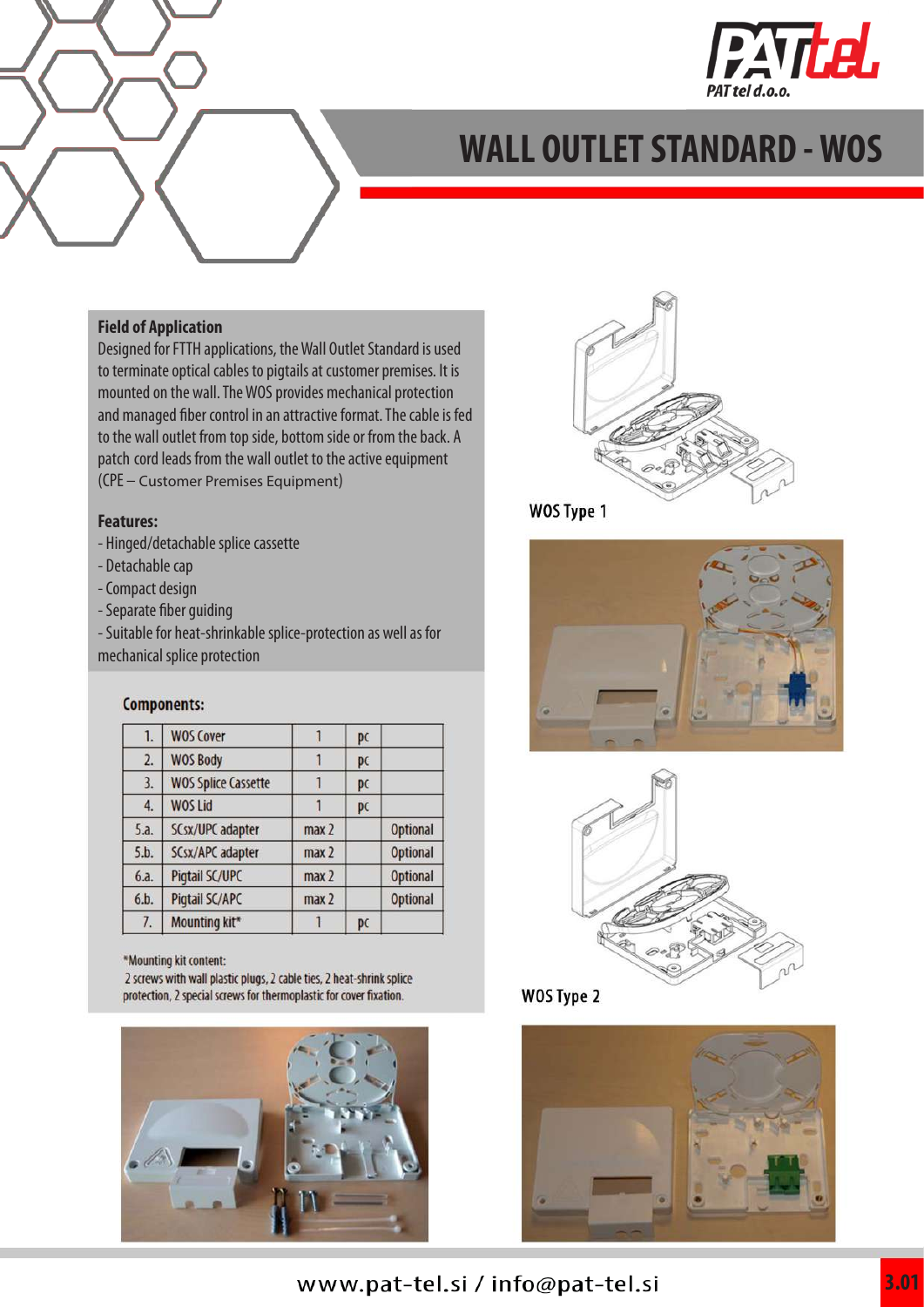

#### **Field of Application**

Designed for FTTH applications, the Wall Outlet Standard is used to terminate optical cables to pigtails at customer premises. It is mounted on the wall. The WOS provides mechanical protection and managed fiber control in an attractive format. The cable is fed to the wall outlet from top side, bottom side or from the back. A patch cord leads from the wall outlet to the active equipment (CPE – Customer Premises Equipment)

#### **Features:**

- Hinged/detachable splice cassette
- Detachable cap
- Compact design
- Separate fiber guiding

- Suitable for heat-shrinkable splice-protection as well as for mechanical splice protection

#### **Components:**

| 1.   | <b>WOS Cover</b>           |                  | pc |                 |
|------|----------------------------|------------------|----|-----------------|
| 2.   | <b>WOS Body</b>            |                  | pc |                 |
| 3.   | <b>WOS Splice Cassette</b> |                  | pc |                 |
| 4.   | <b>WOS Lid</b>             |                  | pc |                 |
| 5.a. | SCsx/UPC adapter           | max <sub>2</sub> |    | <b>Optional</b> |
| 5.b. | SCsx/APC adapter           | max <sub>2</sub> |    | <b>Optional</b> |
| 6.a. | Pigtail SC/UPC             | max <sub>2</sub> |    | <b>Optional</b> |
| 6.b. | Pigtail SC/APC             | max <sub>2</sub> |    | <b>Optional</b> |
| 7.   | Mounting kit*              |                  | pc |                 |
|      |                            |                  |    |                 |

\*Mounting kit content:

2 screws with wall plastic plugs, 2 cable ties, 2 heat-shrink splice protection, 2 special screws for thermoplastic for cover fixation.





WOS Type 1









### www.pat-tel.si / info@pat-tel.si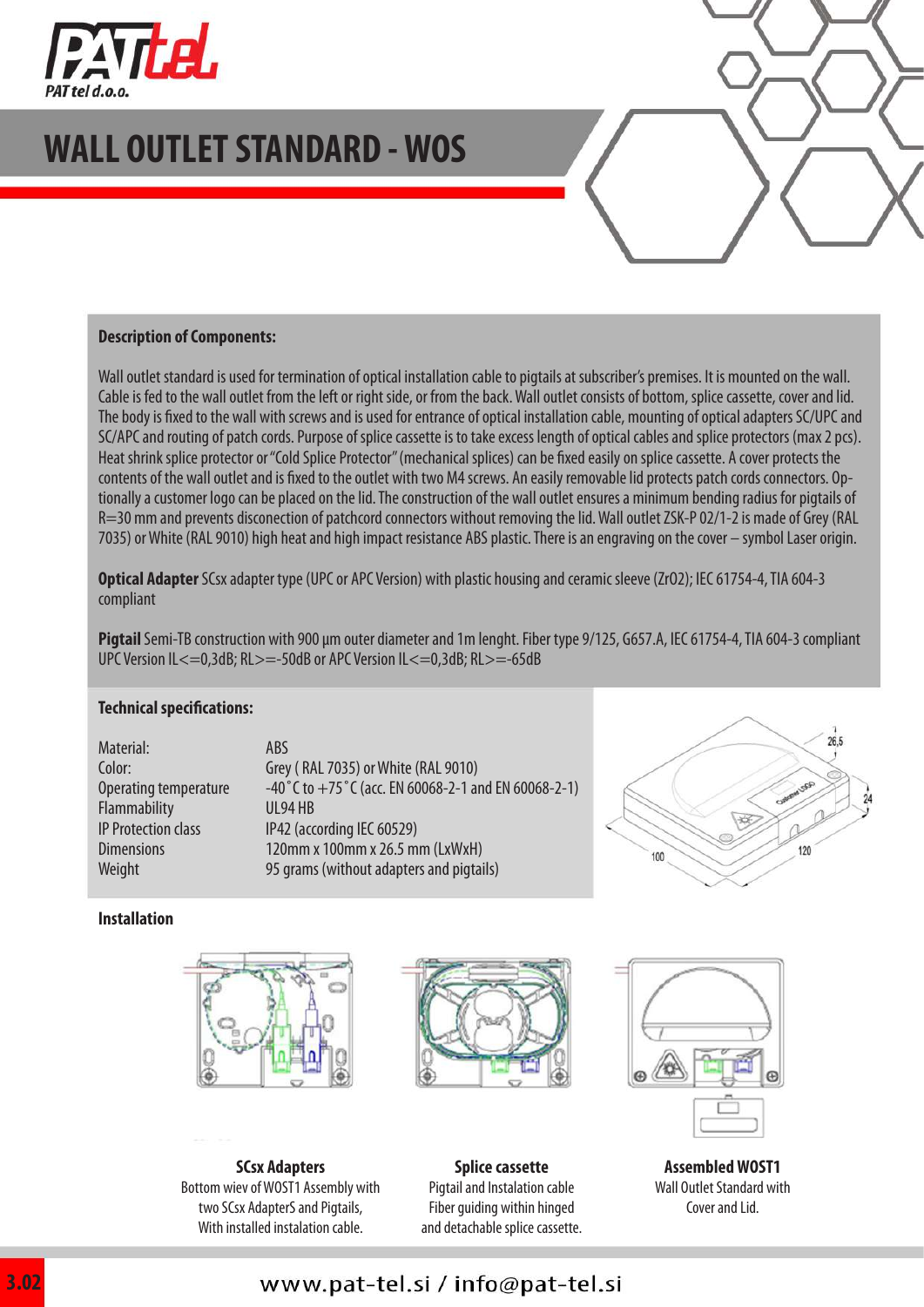

#### **Description of Components:**

Wall outlet standard is used for termination of optical installation cable to pigtails at subscriber's premises. It is mounted on the wall. Cable is fed to the wall outlet from the left or right side, or from the back. Wall outlet consists of bottom, splice cassette, cover and lid. The body is fixed to the wall with screws and is used for entrance of optical installation cable, mounting of optical adapters SC/UPC and SC/APC and routing of patch cords. Purpose of splice cassette is to take excess length of optical cables and splice protectors (max 2 pcs). Heat shrink splice protector or "Cold Splice Protector" (mechanical splices) can be fixed easily on splice cassette. A cover protects the contents of the wall outlet and is fixed to the outlet with two M4 screws. An easily removable lid protects patch cords connectors. Optionally a customer logo can be placed on the lid. The construction of the wall outlet ensures a minimum bending radius for pigtails of R=30 mm and prevents disconection of patchcord connectors without removing the lid. Wall outlet ZSK-P 02/1-2 is made of Grey (RAL 7035) or White (RAL 9010) high heat and high impact resistance ABS plastic. There is an engraving on the cover – symbol Laser origin.

**Optical Adapter** SCsx adapter type (UPC or APC Version) with plastic housing and ceramic sleeve (ZrO2); IEC 61754-4, TIA 604-3 compliant

**Pigtail** Semi-TB construction with 900 μm outer diameter and 1m lenght. Fiber type 9/125, G657.A, IEC 61754-4, TIA 604-3 compliant UPC Version IL <= 0,3dB; RL> = - 50dB or APC Version IL <= 0,3dB; RL> = - 65dB

#### **Technical specifications:**

Material: Color: Operating temperature Flammability IP Protection class **Dimensions Weight** 

ABS Grey ( RAL 7035) or White (RAL 9010) -40˚C to +75˚C (acc. EN 60068-2-1 and EN 60068-2-1) UL94 HB IP42 (according IEC 60529) 120mm x 100mm x 26.5 mm (LxWxH) 95 grams (without adapters and pigtails)



#### **Installation**







**Assembled WOST1** Wall Outlet Standard with Cover and Lid.

**SCsx Adapters** Bottom wiev of WOST1 Assembly with two SCsx AdapterS and Pigtails, With installed instalation cable.

Pigtail and Instalation cable Fiber guiding within hinged and detachable splice cassette.

**Splice cassette**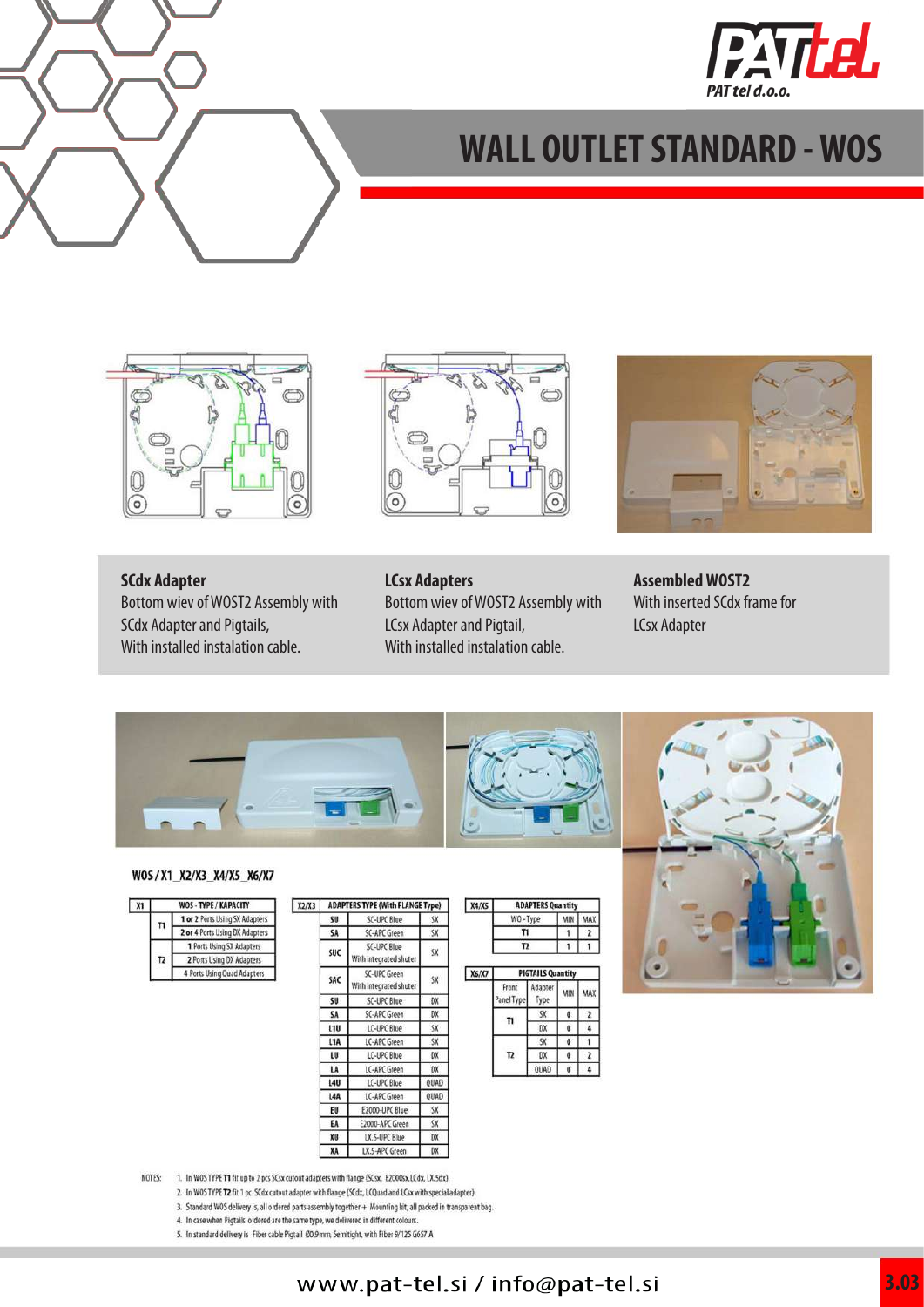





![](_page_2_Figure_4.jpeg)

**SCdx Adapter**

Bottom wiev of WOST2 Assembly with SCdx Adapter and Pigtails, With installed instalation cable.

#### **LCsx Adapters**

Bottom wiev of WOST2 Assembly with LCsx Adapter and Pigtail, With installed instalation cable.

![](_page_2_Picture_9.jpeg)

**Assembled WOST2** With inserted SCdx frame for LCsx Adapter

![](_page_2_Picture_11.jpeg)

#### WOS/X1\_X2/X3\_X4/X5\_X6/X7

| X1 |                | WOS - TYPE / KAPACITY          |
|----|----------------|--------------------------------|
|    | п              | 1 or 2 Ports Using SX Adapters |
|    |                | 2 or 4 Ports Using DX Adapters |
|    | T <sub>2</sub> | 1 Ports Using SX Adapters      |
|    |                | 2 Ports Using DX Adapters      |
|    |                | 4 Ports Using Quad Adapters    |

| X2/X3 | <b>ADAPTERS TYPE (With FLANGE Type)</b> |                                               |                         |
|-------|-----------------------------------------|-----------------------------------------------|-------------------------|
|       | SU                                      | SC-UPC Blue                                   | SX                      |
|       | SA                                      | SC-APC Green                                  | <b>SX</b>               |
|       | <b>SUC</b>                              | SC-UPC Blue<br>With integrated shuter         | $\overline{\mathbf{S}}$ |
|       | SAC                                     | <b>SC-UPC Green</b><br>With integrated shuter | SX.                     |
|       | SU                                      | SC-UPC Blue                                   | DX                      |
|       | SA                                      | SC-APC Green                                  | DX                      |
|       | L <sub>1U</sub>                         | LC-UPC Blue                                   | SX                      |
|       | L <sub>1</sub> A                        | LC-APC Green                                  | <b>SX</b>               |
|       | LU                                      | LC-UPC Blue                                   | DX                      |
|       | LA                                      | LC-APC Green                                  | DX                      |
|       | <b>14U</b>                              | LC-UPC Blue                                   | QUAD                    |
|       | L <sub>4</sub> A                        | LC-APC Green                                  | QUAD                    |
|       | EU                                      | E2000-UPC Blue                                | SX.                     |
|       | EA                                      | E2000-APC Green                               | SX.                     |
|       | XU                                      | LX.5-UPC Blue                                 | DX                      |
|       | XA                                      | LX 5-APC Green                                | DX                      |

| <b>X4/X5</b> | <b>ADAPTERS Quantity</b> |  |
|--------------|--------------------------|--|
|              |                          |  |
|              |                          |  |
|              |                          |  |

| 6/X7 | <b>PIGTAILS Quantity</b> |                        |   |  |
|------|--------------------------|------------------------|---|--|
|      | Front<br>anel Type       | Adapter<br><b>Type</b> |   |  |
|      |                          |                        |   |  |
|      |                          |                        | 0 |  |
|      | מ                        |                        | ō |  |
|      |                          | ٦¥                     |   |  |
|      |                          | HAD                    |   |  |

![](_page_2_Picture_17.jpeg)

NOTES: 1. In WOS TYPE T1 fit up to 2 pcs SCsx cutout adapters with flange (SCsx, E2000sx,LCdx, LX.5dx).

- 2. In WOS TYPE T2 fit 1 pc SCdx cutout adapter with flange (SCdx, LCQuad and LCsx with special adapter).
- 3. Standard WOS delivery is, all ordered parts assembly together + Mounting kit, all packed in transparent bag.
- 4. In case when Pigtails ordered are the same type, we delivered in different colours
- 5. In standard delivery is Fiber cable Pigtail 00,9mm, Semitight, with Fiber 9/125 G657 A